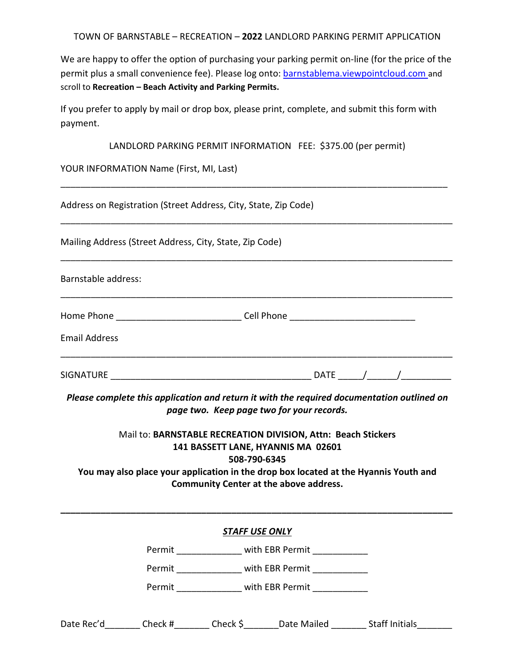TOWN OF BARNSTABLE – RECREATION – **2022** LANDLORD PARKING PERMIT APPLICATION

We are happy to offer the option of purchasing your parking permit on-line (for the price of the permit plus a small convenience fee). Please log onto: barnstablema.viewpointcloud.com and scroll to **Recreation – Beach Activity and Parking Permits.**

If you prefer to apply by mail or drop box, please print, complete, and submit this form with payment.

LANDLORD PARKING PERMIT INFORMATION FEE: \$375.00 (per permit)

\_\_\_\_\_\_\_\_\_\_\_\_\_\_\_\_\_\_\_\_\_\_\_\_\_\_\_\_\_\_\_\_\_\_\_\_\_\_\_\_\_\_\_\_\_\_\_\_\_\_\_\_\_\_\_\_\_\_\_\_\_\_\_\_\_\_\_\_\_\_\_\_\_\_\_\_\_

YOUR INFORMATION Name (First, MI, Last)

Address on Registration (Street Address, City, State, Zip Code) \_\_\_\_\_\_\_\_\_\_\_\_\_\_\_\_\_\_\_\_\_\_\_\_\_\_\_\_\_\_\_\_\_\_\_\_\_\_\_\_\_\_\_\_\_\_\_\_\_\_\_\_\_\_\_\_\_\_\_\_\_\_\_\_\_\_\_\_\_\_\_\_\_\_\_\_\_\_ Mailing Address (Street Address, City, State, Zip Code) \_\_\_\_\_\_\_\_\_\_\_\_\_\_\_\_\_\_\_\_\_\_\_\_\_\_\_\_\_\_\_\_\_\_\_\_\_\_\_\_\_\_\_\_\_\_\_\_\_\_\_\_\_\_\_\_\_\_\_\_\_\_\_\_\_\_\_\_\_\_\_\_\_\_\_\_\_\_ Barnstable address: \_\_\_\_\_\_\_\_\_\_\_\_\_\_\_\_\_\_\_\_\_\_\_\_\_\_\_\_\_\_\_\_\_\_\_\_\_\_\_\_\_\_\_\_\_\_\_\_\_\_\_\_\_\_\_\_\_\_\_\_\_\_\_\_\_\_\_\_\_\_\_\_\_\_\_\_\_\_ Home Phone **Example 20** Figure 2011 2012 12:30 Figure 2012 2013 2014 2015 2017 2018 2019 2019 2017 2017 2018 201 Email Address \_\_\_\_\_\_\_\_\_\_\_\_\_\_\_\_\_\_\_\_\_\_\_\_\_\_\_\_\_\_\_\_\_\_\_\_\_\_\_\_\_\_\_\_\_\_\_\_\_\_\_\_\_\_\_\_\_\_\_\_\_\_\_\_\_\_\_\_\_\_\_\_\_\_\_\_\_\_ SIGNATURE \_\_\_\_\_\_\_\_\_\_\_\_\_\_\_\_\_\_\_\_\_\_\_\_\_\_\_\_\_\_\_\_\_\_\_\_\_\_\_\_ DATE \_\_\_\_\_/\_\_\_\_\_\_/\_\_\_\_\_\_\_\_\_\_

*Please complete this application and return it with the required documentation outlined on page two. Keep page two for your records.* 

Mail to: **BARNSTABLE RECREATION DIVISION, Attn: Beach Stickers 141 BASSETT LANE, HYANNIS MA 02601 508-790-6345 You may also place your application in the drop box located at the Hyannis Youth and** 

**Community Center at the above address.** 

**\_\_\_\_\_\_\_\_\_\_\_\_\_\_\_\_\_\_\_\_\_\_\_\_\_\_\_\_\_\_\_\_\_\_\_\_\_\_\_\_\_\_\_\_\_\_\_\_\_\_\_\_\_\_\_\_\_\_\_\_\_\_\_\_\_\_\_\_\_\_\_\_\_\_\_\_\_\_** 

*STAFF USE ONLY* 

Permit \_\_\_\_\_\_\_\_\_\_\_\_\_\_\_\_\_ with EBR Permit \_\_\_\_\_\_\_\_\_\_\_\_\_

Permit \_\_\_\_\_\_\_\_\_\_\_\_\_\_\_ with EBR Permit \_\_\_\_\_\_\_\_\_\_\_\_

Permit \_\_\_\_\_\_\_\_\_\_\_\_\_\_\_\_ with EBR Permit \_\_\_\_\_\_\_\_\_\_\_\_

| Date Rec'd | Check # | Check S | Date Mailed | <b>Staff Initials</b> |
|------------|---------|---------|-------------|-----------------------|
|            |         |         |             |                       |